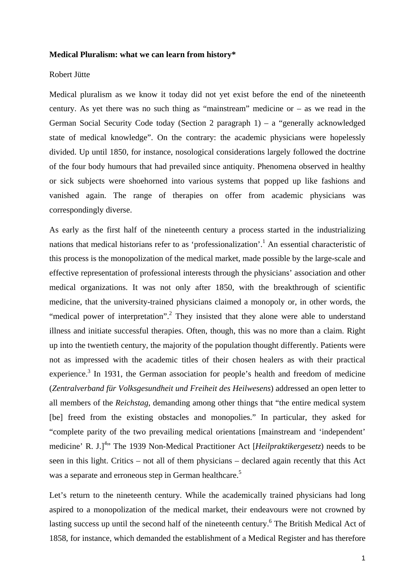## **Medical Pluralism: what we can learn from history\***

## Robert Jütte

Medical pluralism as we know it today did not yet exist before the end of the nineteenth century. As yet there was no such thing as "mainstream" medicine or – as we read in the German Social Security Code today (Section 2 paragraph 1) – a "generally acknowledged state of medical knowledge". On the contrary: the academic physicians were hopelessly divided. Up until 1850, for instance, nosological considerations largely followed the doctrine of the four body humours that had prevailed since antiquity. Phenomena observed in healthy or sick subjects were shoehorned into various systems that popped up like fashions and vanished again. The range of therapies on offer from academic physicians was correspondingly diverse.

As early as the first half of the nineteenth century a process started in the industrializing nations that medical historians refer to as 'professionalization'.<sup>1</sup> An essential characteristic of this process is the monopolization of the medical market, made possible by the large-scale and effective representation of professional interests through the physicians' association and other medical organizations. It was not only after 1850, with the breakthrough of scientific medicine, that the university-trained physicians claimed a monopoly or, in other words, the "medical power of interpretation".<sup>2</sup> They insisted that they alone were able to understand illness and initiate successful therapies. Often, though, this was no more than a claim. Right up into the twentieth century, the majority of the population thought differently. Patients were not as impressed with the academic titles of their chosen healers as with their practical experience.<sup>3</sup> In 1931, the German association for people's health and freedom of medicine (*Zentralverband für Volksgesundheit und Freiheit des Heilwesens*) addressed an open letter to all members of the *Reichstag*, demanding among other things that "the entire medical system [be] freed from the existing obstacles and monopolies." In particular, they asked for "complete parity of the two prevailing medical orientations [mainstream and 'independent' medicine' R. J.]<sup>4</sup>" The 1939 Non-Medical Practitioner Act [*Heilpraktikergesetz*) needs to be seen in this light. Critics – not all of them physicians – declared again recently that this Act was a separate and erroneous step in German healthcare.<sup>5</sup>

Let's return to the nineteenth century. While the academically trained physicians had long aspired to a monopolization of the medical market, their endeavours were not crowned by lasting success up until the second half of the nineteenth century.<sup>6</sup> The British Medical Act of 1858, for instance, which demanded the establishment of a Medical Register and has therefore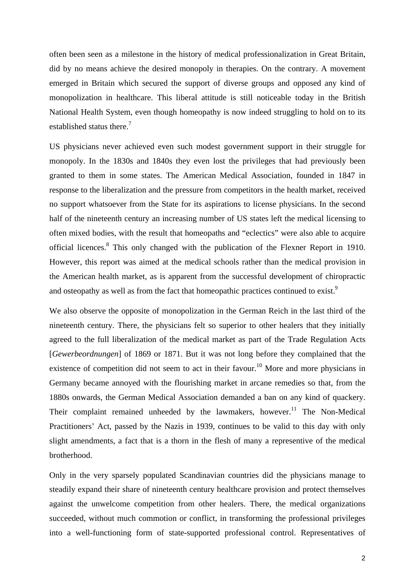often been seen as a milestone in the history of medical professionalization in Great Britain, did by no means achieve the desired monopoly in therapies. On the contrary. A movement emerged in Britain which secured the support of diverse groups and opposed any kind of monopolization in healthcare. This liberal attitude is still noticeable today in the British National Health System, even though homeopathy is now indeed struggling to hold on to its established status there.<sup>7</sup>

US physicians never achieved even such modest government support in their struggle for monopoly. In the 1830s and 1840s they even lost the privileges that had previously been granted to them in some states. The American Medical Association, founded in 1847 in response to the liberalization and the pressure from competitors in the health market, received no support whatsoever from the State for its aspirations to license physicians. In the second half of the nineteenth century an increasing number of US states left the medical licensing to often mixed bodies, with the result that homeopaths and "eclectics" were also able to acquire official licences.<sup>8</sup> This only changed with the publication of the Flexner Report in 1910. However, this report was aimed at the medical schools rather than the medical provision in the American health market, as is apparent from the successful development of chiropractic and osteopathy as well as from the fact that homeopathic practices continued to exist.<sup>9</sup>

We also observe the opposite of monopolization in the German Reich in the last third of the nineteenth century. There, the physicians felt so superior to other healers that they initially agreed to the full liberalization of the medical market as part of the Trade Regulation Acts [*Gewerbeordnungen*] of 1869 or 1871. But it was not long before they complained that the existence of competition did not seem to act in their favour.<sup>10</sup> More and more physicians in Germany became annoyed with the flourishing market in arcane remedies so that, from the 1880s onwards, the German Medical Association demanded a ban on any kind of quackery. Their complaint remained unheeded by the lawmakers, however.<sup>11</sup> The Non-Medical Practitioners' Act, passed by the Nazis in 1939, continues to be valid to this day with only slight amendments, a fact that is a thorn in the flesh of many a representive of the medical brotherhood.

Only in the very sparsely populated Scandinavian countries did the physicians manage to steadily expand their share of nineteenth century healthcare provision and protect themselves against the unwelcome competition from other healers. There, the medical organizations succeeded, without much commotion or conflict, in transforming the professional privileges into a well-functioning form of state-supported professional control. Representatives of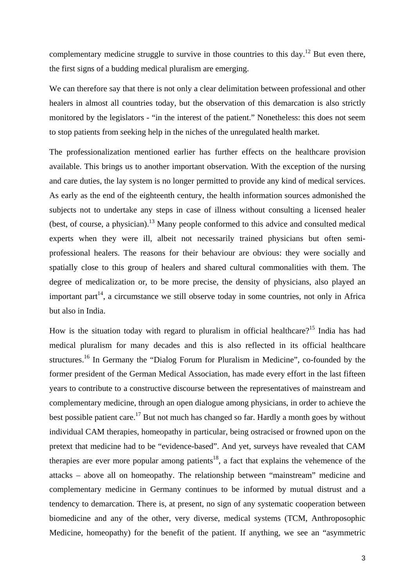complementary medicine struggle to survive in those countries to this day.<sup>12</sup> But even there, the first signs of a budding medical pluralism are emerging.

We can therefore say that there is not only a clear delimitation between professional and other healers in almost all countries today, but the observation of this demarcation is also strictly monitored by the legislators - "in the interest of the patient." Nonetheless: this does not seem to stop patients from seeking help in the niches of the unregulated health market.

The professionalization mentioned earlier has further effects on the healthcare provision available. This brings us to another important observation. With the exception of the nursing and care duties, the lay system is no longer permitted to provide any kind of medical services. As early as the end of the eighteenth century, the health information sources admonished the subjects not to undertake any steps in case of illness without consulting a licensed healer (best, of course, a physician).13 Many people conformed to this advice and consulted medical experts when they were ill, albeit not necessarily trained physicians but often semiprofessional healers. The reasons for their behaviour are obvious: they were socially and spatially close to this group of healers and shared cultural commonalities with them. The degree of medicalization or, to be more precise, the density of physicians, also played an important part<sup>14</sup>, a circumstance we still observe today in some countries, not only in Africa but also in India.

How is the situation today with regard to pluralism in official healthcare?<sup>15</sup> India has had medical pluralism for many decades and this is also reflected in its official healthcare structures.<sup>16</sup> In Germany the "Dialog Forum for Pluralism in Medicine", co-founded by the former president of the German Medical Association, has made every effort in the last fifteen years to contribute to a constructive discourse between the representatives of mainstream and complementary medicine, through an open dialogue among physicians, in order to achieve the best possible patient care.<sup>17</sup> But not much has changed so far. Hardly a month goes by without individual CAM therapies, homeopathy in particular, being ostracised or frowned upon on the pretext that medicine had to be "evidence-based". And yet, surveys have revealed that CAM therapies are ever more popular among patients<sup>18</sup>, a fact that explains the vehemence of the attacks – above all on homeopathy. The relationship between "mainstream" medicine and complementary medicine in Germany continues to be informed by mutual distrust and a tendency to demarcation. There is, at present, no sign of any systematic cooperation between biomedicine and any of the other, very diverse, medical systems (TCM, Anthroposophic Medicine, homeopathy) for the benefit of the patient. If anything, we see an "asymmetric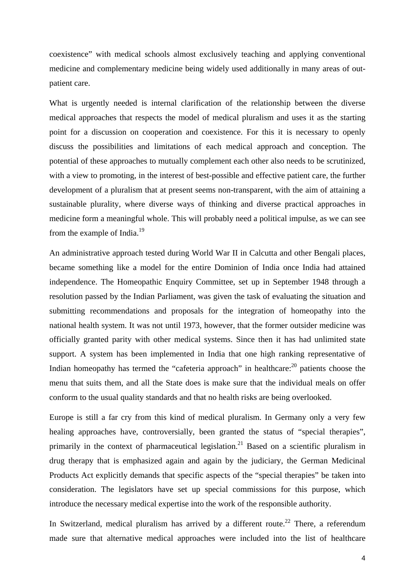coexistence" with medical schools almost exclusively teaching and applying conventional medicine and complementary medicine being widely used additionally in many areas of outpatient care.

What is urgently needed is internal clarification of the relationship between the diverse medical approaches that respects the model of medical pluralism and uses it as the starting point for a discussion on cooperation and coexistence. For this it is necessary to openly discuss the possibilities and limitations of each medical approach and conception. The potential of these approaches to mutually complement each other also needs to be scrutinized, with a view to promoting, in the interest of best-possible and effective patient care, the further development of a pluralism that at present seems non-transparent, with the aim of attaining a sustainable plurality, where diverse ways of thinking and diverse practical approaches in medicine form a meaningful whole. This will probably need a political impulse, as we can see from the example of India. $^{19}$ 

An administrative approach tested during World War II in Calcutta and other Bengali places, became something like a model for the entire Dominion of India once India had attained independence. The Homeopathic Enquiry Committee, set up in September 1948 through a resolution passed by the Indian Parliament, was given the task of evaluating the situation and submitting recommendations and proposals for the integration of homeopathy into the national health system. It was not until 1973, however, that the former outsider medicine was officially granted parity with other medical systems. Since then it has had unlimited state support. A system has been implemented in India that one high ranking representative of Indian homeopathy has termed the "cafeteria approach" in healthcare: $^{20}$  patients choose the menu that suits them, and all the State does is make sure that the individual meals on offer conform to the usual quality standards and that no health risks are being overlooked.

Europe is still a far cry from this kind of medical pluralism. In Germany only a very few healing approaches have, controversially, been granted the status of "special therapies", primarily in the context of pharmaceutical legislation.<sup>21</sup> Based on a scientific pluralism in drug therapy that is emphasized again and again by the judiciary, the German Medicinal Products Act explicitly demands that specific aspects of the "special therapies" be taken into consideration. The legislators have set up special commissions for this purpose, which introduce the necessary medical expertise into the work of the responsible authority.

In Switzerland, medical pluralism has arrived by a different route.<sup>22</sup> There, a referendum made sure that alternative medical approaches were included into the list of healthcare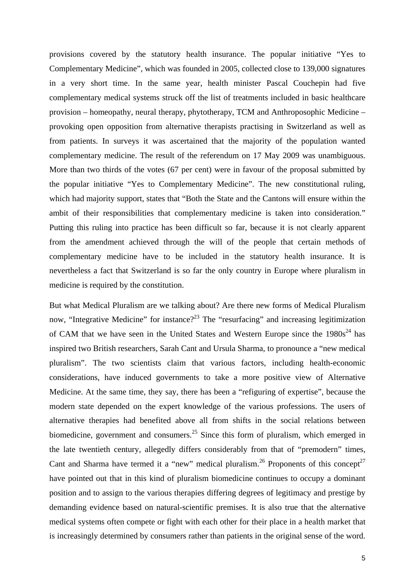provisions covered by the statutory health insurance. The popular initiative "Yes to Complementary Medicine", which was founded in 2005, collected close to 139,000 signatures in a very short time. In the same year, health minister Pascal Couchepin had five complementary medical systems struck off the list of treatments included in basic healthcare provision – homeopathy, neural therapy, phytotherapy, TCM and Anthroposophic Medicine – provoking open opposition from alternative therapists practising in Switzerland as well as from patients. In surveys it was ascertained that the majority of the population wanted complementary medicine. The result of the referendum on 17 May 2009 was unambiguous. More than two thirds of the votes (67 per cent) were in favour of the proposal submitted by the popular initiative "Yes to Complementary Medicine". The new constitutional ruling, which had majority support, states that "Both the State and the Cantons will ensure within the ambit of their responsibilities that complementary medicine is taken into consideration." Putting this ruling into practice has been difficult so far, because it is not clearly apparent from the amendment achieved through the will of the people that certain methods of complementary medicine have to be included in the statutory health insurance. It is nevertheless a fact that Switzerland is so far the only country in Europe where pluralism in medicine is required by the constitution.

But what Medical Pluralism are we talking about? Are there new forms of Medical Pluralism now, "Integrative Medicine" for instance?<sup>23</sup> The "resurfacing" and increasing legitimization of CAM that we have seen in the United States and Western Europe since the  $1980s^{24}$  has inspired two British researchers, Sarah Cant and Ursula Sharma, to pronounce a "new medical pluralism". The two scientists claim that various factors, including health-economic considerations, have induced governments to take a more positive view of Alternative Medicine. At the same time, they say, there has been a "refiguring of expertise", because the modern state depended on the expert knowledge of the various professions. The users of alternative therapies had benefited above all from shifts in the social relations between biomedicine, government and consumers.<sup>25</sup> Since this form of pluralism, which emerged in the late twentieth century, allegedly differs considerably from that of "premodern" times, Cant and Sharma have termed it a "new" medical pluralism.<sup>26</sup> Proponents of this concept<sup>27</sup> have pointed out that in this kind of pluralism biomedicine continues to occupy a dominant position and to assign to the various therapies differing degrees of legitimacy and prestige by demanding evidence based on natural-scientific premises. It is also true that the alternative medical systems often compete or fight with each other for their place in a health market that is increasingly determined by consumers rather than patients in the original sense of the word.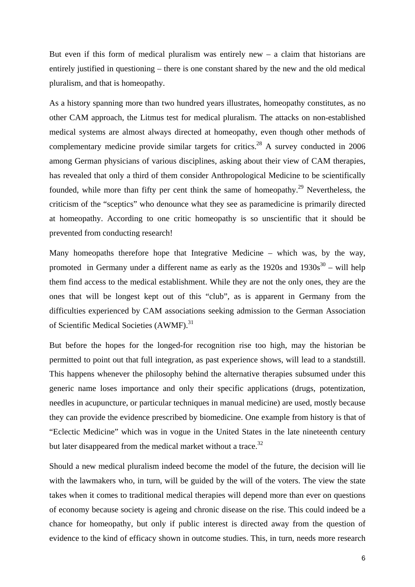But even if this form of medical pluralism was entirely new  $-$  a claim that historians are entirely justified in questioning – there is one constant shared by the new and the old medical pluralism, and that is homeopathy.

As a history spanning more than two hundred years illustrates, homeopathy constitutes, as no other CAM approach, the Litmus test for medical pluralism. The attacks on non-established medical systems are almost always directed at homeopathy, even though other methods of complementary medicine provide similar targets for critics.<sup>28</sup> A survey conducted in 2006 among German physicians of various disciplines, asking about their view of CAM therapies, has revealed that only a third of them consider Anthropological Medicine to be scientifically founded, while more than fifty per cent think the same of homeopathy.<sup>29</sup> Nevertheless, the criticism of the "sceptics" who denounce what they see as paramedicine is primarily directed at homeopathy. According to one critic homeopathy is so unscientific that it should be prevented from conducting research!

Many homeopaths therefore hope that Integrative Medicine – which was, by the way, promoted in Germany under a different name as early as the  $1920s$  and  $1930s^{30}$  – will help them find access to the medical establishment. While they are not the only ones, they are the ones that will be longest kept out of this "club", as is apparent in Germany from the difficulties experienced by CAM associations seeking admission to the German Association of Scientific Medical Societies (AWMF).<sup>31</sup>

But before the hopes for the longed-for recognition rise too high, may the historian be permitted to point out that full integration, as past experience shows, will lead to a standstill. This happens whenever the philosophy behind the alternative therapies subsumed under this generic name loses importance and only their specific applications (drugs, potentization, needles in acupuncture, or particular techniques in manual medicine) are used, mostly because they can provide the evidence prescribed by biomedicine. One example from history is that of "Eclectic Medicine" which was in vogue in the United States in the late nineteenth century but later disappeared from the medical market without a trace.<sup>32</sup>

Should a new medical pluralism indeed become the model of the future, the decision will lie with the lawmakers who, in turn, will be guided by the will of the voters. The view the state takes when it comes to traditional medical therapies will depend more than ever on questions of economy because society is ageing and chronic disease on the rise. This could indeed be a chance for homeopathy, but only if public interest is directed away from the question of evidence to the kind of efficacy shown in outcome studies. This, in turn, needs more research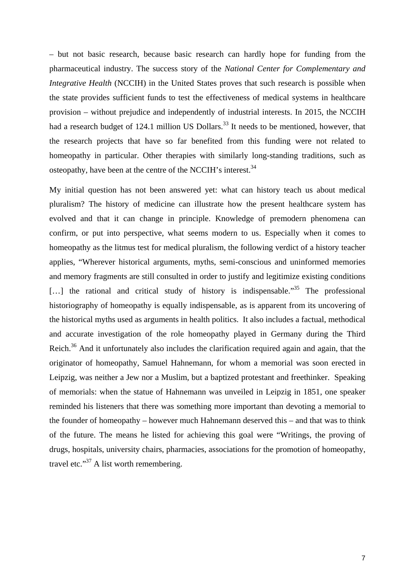– but not basic research, because basic research can hardly hope for funding from the pharmaceutical industry. The success story of the *National Center for Complementary and Integrative Health* (NCCIH) in the United States proves that such research is possible when the state provides sufficient funds to test the effectiveness of medical systems in healthcare provision – without prejudice and independently of industrial interests. In 2015, the NCCIH had a research budget of 124.1 million US Dollars.<sup>33</sup> It needs to be mentioned, however, that the research projects that have so far benefited from this funding were not related to homeopathy in particular. Other therapies with similarly long-standing traditions, such as osteopathy, have been at the centre of the NCCIH's interest.<sup>34</sup>

My initial question has not been answered yet: what can history teach us about medical pluralism? The history of medicine can illustrate how the present healthcare system has evolved and that it can change in principle. Knowledge of premodern phenomena can confirm, or put into perspective, what seems modern to us. Especially when it comes to homeopathy as the litmus test for medical pluralism, the following verdict of a history teacher applies, "Wherever historical arguments, myths, semi-conscious and uninformed memories and memory fragments are still consulted in order to justify and legitimize existing conditions [...] the rational and critical study of history is indispensable.<sup>35</sup> The professional historiography of homeopathy is equally indispensable, as is apparent from its uncovering of the historical myths used as arguments in health politics. It also includes a factual, methodical and accurate investigation of the role homeopathy played in Germany during the Third Reich.<sup>36</sup> And it unfortunately also includes the clarification required again and again, that the originator of homeopathy, Samuel Hahnemann, for whom a memorial was soon erected in Leipzig, was neither a Jew nor a Muslim, but a baptized protestant and freethinker. Speaking of memorials: when the statue of Hahnemann was unveiled in Leipzig in 1851, one speaker reminded his listeners that there was something more important than devoting a memorial to the founder of homeopathy – however much Hahnemann deserved this – and that was to think of the future. The means he listed for achieving this goal were "Writings, the proving of drugs, hospitals, university chairs, pharmacies, associations for the promotion of homeopathy, travel etc."<sup>37</sup> A list worth remembering.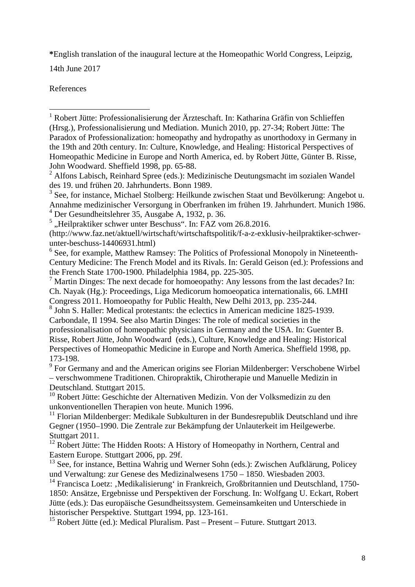**\***English translation of the inaugural lecture at the Homeopathic World Congress, Leipzig,

14th June 2017

References

<sup>6</sup> See, for example, Matthew Ramsey: The Politics of Professional Monopoly in Nineteenth-Century Medicine: The French Model and its Rivals. In: Gerald Geison (ed.): Professions and the French State 1700-1900. Philadelphia 1984, pp. 225-305.

8 John S. Haller: Medical protestants: the eclectics in American medicine 1825-1939. Carbondale, Il 1994. See also Martin Dinges: The role of medical societies in the professionalisation of homeopathic physicians in Germany and the USA. In: Guenter B. Risse, Robert Jütte, John Woodward (eds.), Culture, Knowledge and Healing: Historical Perspectives of Homeopathic Medicine in Europe and North America. Sheffield 1998, pp. 173-198.

 $9^9$  For Germany and and the American origins see Florian Mildenberger: Verschobene Wirbel – verschwommene Traditionen. Chiropraktik, Chirotherapie und Manuelle Medizin in Deutschland. Stuttgart 2015.

<sup>10</sup> Robert Jütte: Geschichte der Alternativen Medizin. Von der Volksmedizin zu den unkonventionellen Therapien von heute. Munich 1996.

 $11$  Florian Mildenberger: Medikale Subkulturen in der Bundesrepublik Deutschland und ihre Gegner (1950–1990. Die Zentrale zur Bekämpfung der Unlauterkeit im Heilgewerbe. Stuttgart 2011.

 $12$  Robert Jütte: The Hidden Roots: A History of Homeopathy in Northern, Central and Eastern Europe. Stuttgart 2006, pp. 29f.

13 See, for instance, Bettina Wahrig und Werner Sohn (eds.): Zwischen Aufklärung, Policey und Verwaltung: zur Genese des Medizinalwesens 1750 – 1850. Wiesbaden 2003.

<sup>14</sup> Francisca Loetz: ,Medikalisierung' in Frankreich, Großbritannien und Deutschland, 1750-1850: Ansätze, Ergebnisse und Perspektiven der Forschung. In: Wolfgang U. Eckart, Robert Jütte (eds.): Das europäische Gesundheitssystem. Gemeinsamkeiten und Unterschiede in historischer Perspektive. Stuttgart 1994, pp. 123-161.

<sup>15</sup> Robert Jütte (ed.): Medical Pluralism. Past – Present – Future. Stuttgart 2013.

<sup>&</sup>lt;sup>1</sup> Robert Jütte: Professionalisierung der Ärzteschaft. In: Katharina Gräfin von Schlieffen (Hrsg.), Professionalisierung und Mediation. Munich 2010, pp. 27-34; Robert Jütte: The Paradox of Professionalization: homeopathy and hydropathy as unorthodoxy in Germany in the 19th and 20th century. In: Culture, Knowledge, and Healing: Historical Perspectives of Homeopathic Medicine in Europe and North America, ed. by Robert Jütte, Günter B. Risse, John Woodward. Sheffield 1998, pp. 65-88.

<sup>&</sup>lt;sup>2</sup> Alfons Labisch, Reinhard Spree (eds.): Medizinische Deutungsmacht im sozialen Wandel des 19. und frühen 20. Jahrhunderts. Bonn 1989.

 $3$  See, for instance, Michael Stolberg: Heilkunde zwischen Staat und Bevölkerung: Angebot u. Annahme medizinischer Versorgung in Oberfranken im frühen 19. Jahrhundert. Munich 1986. 4 Der Gesundheitslehrer 35, Ausgabe A, 1932, p. 36.

 $<sup>5</sup>$ , Heilpraktiker schwer unter Beschuss". In: FAZ vom 26.8.2016.</sup>

<sup>(</sup>http://www.faz.net/aktuell/wirtschaft/wirtschaftspolitik/f-a-z-exklusiv-heilpraktiker-schwerunter-beschuss-14406931.html)

<sup>&</sup>lt;sup>7</sup> Martin Dinges: The next decade for homoeopathy: Any lessons from the last decades? In: Ch. Nayak (Hg.): Proceedings, Liga Medicorum homoeopatica internationalis, 66. LMHI Congress 2011. Homoeopathy for Public Health, New Delhi 2013, pp. 235-244.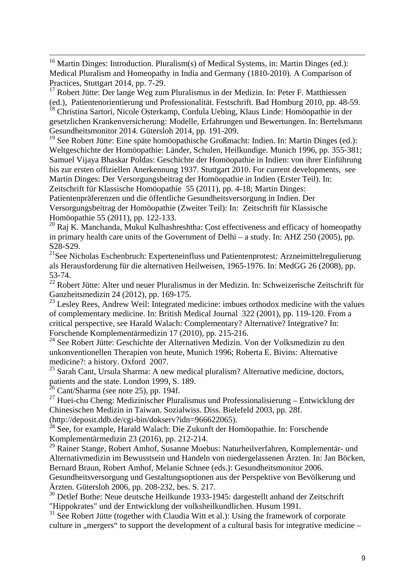<sup>16</sup> Martin Dinges: Introduction. Pluralism(s) of Medical Systems, in: Martin Dinges (ed.): Medical Pluralism and Homeopathy in India and Germany (1810-2010). A Comparison of Practices, Stuttgart 2014, pp. 7-29.

 $17$  Robert Jütte: Der lange Weg zum Pluralismus in der Medizin. In: Peter F. Matthiessen (ed.), Patientenorientierung und Professionalität. Festschrift. Bad Homburg 2010, pp. 48-59.

<sup>18</sup> Christina Sartori, Nicole Osterkamp, Cordula Uebing, Klaus Linde: Homöopathie in der gesetzlichen Krankenversicherung: Modelle, Erfahrungen und Bewertungen. In: Bertelsmann Gesundheitsmonitor 2014. Gütersloh 2014, pp. 191-209.

19 See Robert Jütte: Eine späte homöopathische Großmacht: Indien. In: Martin Dinges (ed.): Weltgeschichte der Homöopathie: Länder, Schulen, Heilkundige. Munich 1996, pp. 355-381; Samuel Vijaya Bhaskar Poldas: Geschichte der Homöopathie in Indien: von ihrer Einführung bis zur ersten offiziellen Anerkennung 1937. Stuttgart 2010. For current developments, see Martin Dinges: Der Versorgungsbeitrag der Homöopathie in Indien (Erster Teil). In: Zeitschrift für Klassische Homöopathie 55 (2011), pp. 4-18; Martin Dinges:

Patientenpräferenzen und die öffentliche Gesundheitsversorgung in Indien. Der Versorgungsbeitrag der Homöopathie (Zweiter Teil): In: Zeitschrift für Klassische Homöopathie 55 (2011), pp. 122-133.

 $20$  Raj K. Manchanda, Mukul Kulhashreshtha: Cost effectiveness and efficacy of homeopathy in primary health care units of the Government of Delhi – a study. In: AHZ 250 (2005), pp. S28-S29.

21See Nicholas Eschenbruch: Experteneinfluss und Patientenprotest*:* Arzneimittelregulierung als Herausforderung für die alternativen Heilweisen*,* 1965-1976. In: MedGG 26 (2008), pp. 53-74.

<sup>22</sup> Robert Jütte: Alter und neuer Pluralismus in der Medizin. In: Schweizerische Zeitschrift für Ganzheitsmedizin 24 (2012), pp. 169-175.

 $^{23}$  Lesley Rees, Andrew Weil: Integrated medicine: imbues orthodox medicine with the values of complementary medicine. In: British Medical Journal 322 (2001), pp. 119-120. From a critical perspective, see Harald Walach: Complementary? Alternative? Integrative? In: Forschende Komplementärmedizin 17 (2010), pp. 215-216.

<sup>24</sup> See Robert Jütte: Geschichte der Alternativen Medizin. Von der Volksmedizin zu den unkonventionellen Therapien von heute, Munich 1996; Roberta E. Bivins: Alternative medicine?: a history. Oxford 2007.

 $25$  Sarah Cant, Ursula Sharma: A new medical pluralism? Alternative medicine, doctors, patients and the state. London 1999, S. 189.

 $26$  Cant/Sharma (see note 25), pp. 194f.

<sup>27</sup> Huei-chu Cheng: Medizinischer Pluralismus und Professionalisierung – Entwicklung der Chinesischen Medizin in Taiwan. Sozialwiss. Diss. Bielefeld 2003, pp. 28f. (http://deposit.ddb.de/cgi-bin/dokserv?idn=966622065).

<sup>28</sup> See, for example, Harald Walach: Die Zukunft der Homöopathie. In: Forschende Komplementärmedizin 23 (2016), pp. 212-214.

<sup>29</sup> Rainer Stange, Robert Amhof, Susanne Moebus: Naturheilverfahren, Komplementär- und Alternativmedizin im Bewusstsein und Handeln von niedergelassenen Ärzten. In: Jan Böcken, Bernard Braun, Robert Amhof, Melanie Schnee (eds.): Gesundheitsmonitor 2006.

Gesundheitsversorgung und Gestaltungsoptionen aus der Perspektive von Bevölkerung und Ärzten. Gütersloh 2006, pp. 208-232, bes. S. 217.

<sup>30</sup> Detlef Bothe: Neue deutsche Heilkunde 1933-1945: dargestellt anhand der Zeitschrift "Hippokrates" und der Entwicklung der volksheilkundlichen. Husum 1991.

 $31$  See Robert Jütte (together with Claudia Witt et al.): Using the framework of corporate culture in , mergers " to support the development of a cultural basis for integrative medicine –